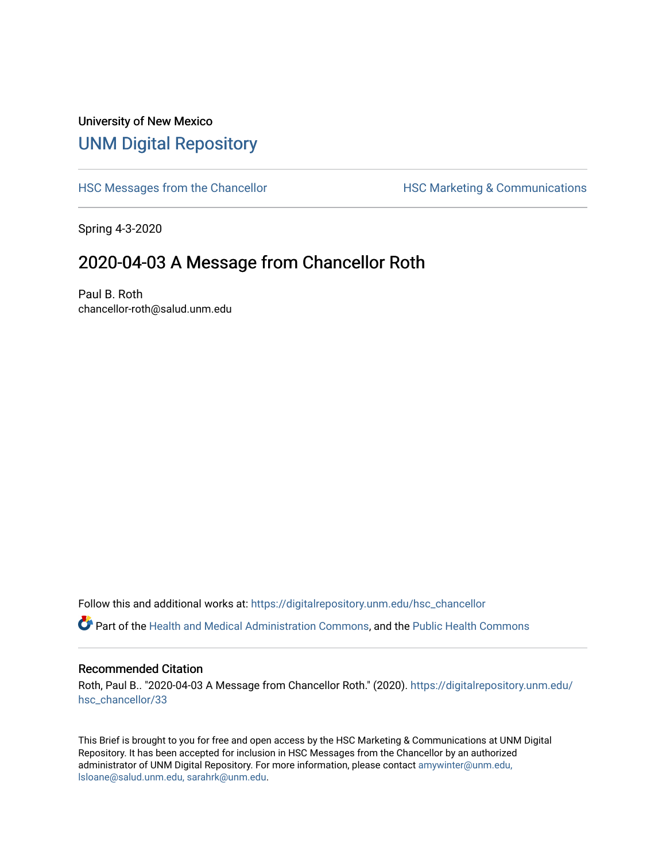## University of New Mexico [UNM Digital Repository](https://digitalrepository.unm.edu/)

[HSC Messages from the Chancellor](https://digitalrepository.unm.edu/hsc_chancellor) **HSC Marketing & Communications** 

Spring 4-3-2020

## 2020-04-03 A Message from Chancellor Roth

Paul B. Roth chancellor-roth@salud.unm.edu

Follow this and additional works at: [https://digitalrepository.unm.edu/hsc\\_chancellor](https://digitalrepository.unm.edu/hsc_chancellor?utm_source=digitalrepository.unm.edu%2Fhsc_chancellor%2F33&utm_medium=PDF&utm_campaign=PDFCoverPages) 

Part of the [Health and Medical Administration Commons](http://network.bepress.com/hgg/discipline/663?utm_source=digitalrepository.unm.edu%2Fhsc_chancellor%2F33&utm_medium=PDF&utm_campaign=PDFCoverPages), and the [Public Health Commons](http://network.bepress.com/hgg/discipline/738?utm_source=digitalrepository.unm.edu%2Fhsc_chancellor%2F33&utm_medium=PDF&utm_campaign=PDFCoverPages) 

## Recommended Citation

Roth, Paul B.. "2020-04-03 A Message from Chancellor Roth." (2020). [https://digitalrepository.unm.edu/](https://digitalrepository.unm.edu/hsc_chancellor/33?utm_source=digitalrepository.unm.edu%2Fhsc_chancellor%2F33&utm_medium=PDF&utm_campaign=PDFCoverPages) [hsc\\_chancellor/33](https://digitalrepository.unm.edu/hsc_chancellor/33?utm_source=digitalrepository.unm.edu%2Fhsc_chancellor%2F33&utm_medium=PDF&utm_campaign=PDFCoverPages) 

This Brief is brought to you for free and open access by the HSC Marketing & Communications at UNM Digital Repository. It has been accepted for inclusion in HSC Messages from the Chancellor by an authorized administrator of UNM Digital Repository. For more information, please contact [amywinter@unm.edu,](mailto:amywinter@unm.edu,%20lsloane@salud.unm.edu,%20sarahrk@unm.edu) [lsloane@salud.unm.edu, sarahrk@unm.edu.](mailto:amywinter@unm.edu,%20lsloane@salud.unm.edu,%20sarahrk@unm.edu)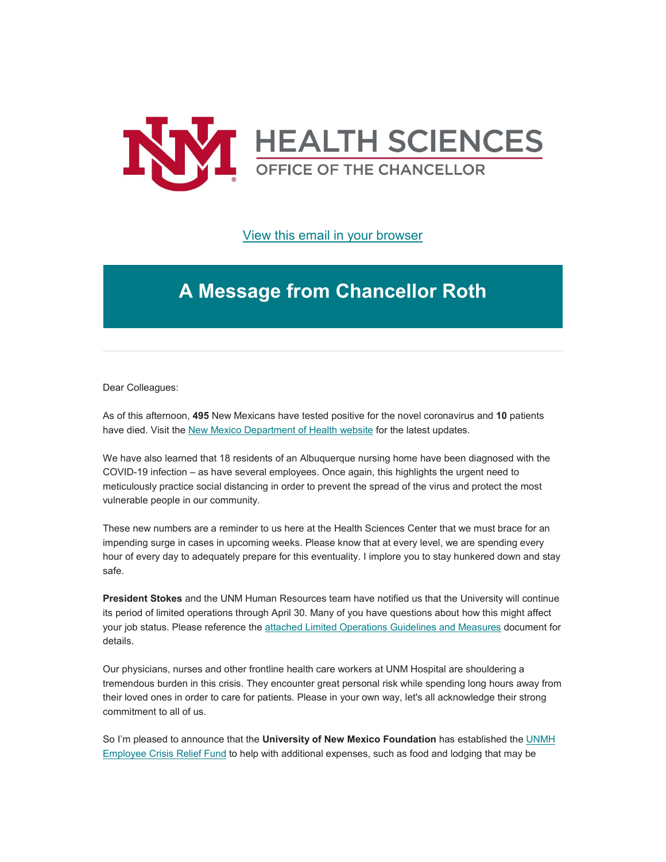

[View this email in your browser](https://mailchi.mp/47ac4afb4f6f/message-from-the-chancellor-coronavirus-4369704?e=b4bbfca2c0)

## **A Message from Chancellor Roth**

Dear Colleagues:

As of this afternoon, **495** New Mexicans have tested positive for the novel coronavirus and **10** patients have died. Visit the [New Mexico Department of Health website](https://unm.us19.list-manage.com/track/click?u=59ce53c1a4dedb490bac78648&id=f49ae4ef6a&e=b4bbfca2c0) for the latest updates.

We have also learned that 18 residents of an Albuquerque nursing home have been diagnosed with the COVID-19 infection – as have several employees. Once again, this highlights the urgent need to meticulously practice social distancing in order to prevent the spread of the virus and protect the most vulnerable people in our community.

These new numbers are a reminder to us here at the Health Sciences Center that we must brace for an impending surge in cases in upcoming weeks. Please know that at every level, we are spending every hour of every day to adequately prepare for this eventuality. I implore you to stay hunkered down and stay safe.

**President Stokes** and the UNM Human Resources team have notified us that the University will continue its period of limited operations through April 30. Many of you have questions about how this might affect your job status. Please reference the [attached Limited Operations Guidelines and Measures](https://unm.us19.list-manage.com/track/click?u=59ce53c1a4dedb490bac78648&id=5556428990&e=b4bbfca2c0) document for details.

Our physicians, nurses and other frontline health care workers at UNM Hospital are shouldering a tremendous burden in this crisis. They encounter great personal risk while spending long hours away from their loved ones in order to care for patients. Please in your own way, let's all acknowledge their strong commitment to all of us.

So I'm pleased to announce that the **University of New Mexico Foundation** has established the [UNMH](https://unm.us19.list-manage.com/track/click?u=59ce53c1a4dedb490bac78648&id=be7e57505a&e=b4bbfca2c0)  [Employee Crisis Relief Fund](https://unm.us19.list-manage.com/track/click?u=59ce53c1a4dedb490bac78648&id=be7e57505a&e=b4bbfca2c0) to help with additional expenses, such as food and lodging that may be